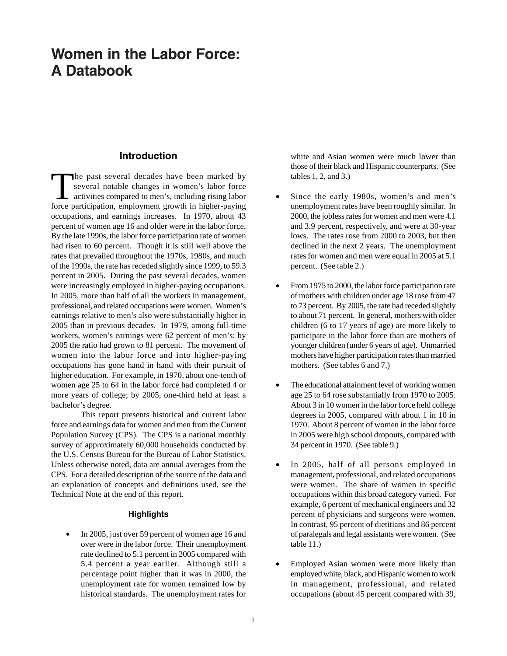## **Women in the Labor Force: A Databook**

## **Introduction**

The past several decades have been marked by<br>several notable changes in women's labor force<br>activities compared to men's, including rising labor<br>force perticipation employment growth in higher persing several notable changes in women's labor force activities compared to men's, including rising labor force participation, employment growth in higher-paying occupations, and earnings increases. In 1970, about 43 percent of women age 16 and older were in the labor force. By the late 1990s, the labor force participation rate of women had risen to 60 percent. Though it is still well above the rates that prevailed throughout the 1970s, 1980s, and much of the 1990s, the rate has receded slightly since 1999, to 59.3 percent in 2005. During the past several decades, women were increasingly employed in higher-paying occupations. In 2005, more than half of all the workers in management, professional, and related occupations were women. Women's earnings relative to men's also were substantially higher in 2005 than in previous decades. In 1979, among full-time workers, women's earnings were 62 percent of men's; by 2005 the ratio had grown to 81 percent. The movement of women into the labor force and into higher-paying occupations has gone hand in hand with their pursuit of higher education. For example, in 1970, about one-tenth of women age 25 to 64 in the labor force had completed 4 or more years of college; by 2005, one-third held at least a bachelor's degree.

This report presents historical and current labor force and earnings data for women and men from the Current Population Survey (CPS). The CPS is a national monthly survey of approximately 60,000 households conducted by the U.S. Census Bureau for the Bureau of Labor Statistics. Unless otherwise noted, data are annual averages from the CPS. For a detailed description of the source of the data and an explanation of concepts and definitions used, see the Technical Note at the end of this report.

## **Highlights**

• In 2005, just over 59 percent of women age 16 and over were in the labor force. Their unemployment rate declined to 5.1 percent in 2005 compared with 5.4 percent a year earlier. Although still a percentage point higher than it was in 2000, the unemployment rate for women remained low by historical standards. The unemployment rates for white and Asian women were much lower than those of their black and Hispanic counterparts. (See tables 1, 2, and 3.)

- Since the early 1980s, women's and men's unemployment rates have been roughly similar. In 2000, the jobless rates for women and men were 4.1 and 3.9 percent, respectively, and were at 30-year lows. The rates rose from 2000 to 2003, but then declined in the next 2 years. The unemployment rates for women and men were equal in 2005 at 5.1 percent. (See table 2.)
- From 1975 to 2000, the labor force participation rate of mothers with children under age 18 rose from 47 to 73 percent. By 2005, the rate had receded slightly to about 71 percent. In general, mothers with older children (6 to 17 years of age) are more likely to participate in the labor force than are mothers of younger children (under 6 years of age). Unmarried mothers have higher participation rates than married mothers. (See tables 6 and 7.)
- The educational attainment level of working women age 25 to 64 rose substantially from 1970 to 2005. About 3 in 10 women in the labor force held college degrees in 2005, compared with about 1 in 10 in 1970. About 8 percent of women in the labor force in 2005 were high school dropouts, compared with 34 percent in 1970. (See table 9.)
- In 2005, half of all persons employed in management, professional, and related occupations were women. The share of women in specific occupations within this broad category varied. For example, 6 percent of mechanical engineers and 32 percent of physicians and surgeons were women. In contrast, 95 percent of dietitians and 86 percent of paralegals and legal assistants were women. (See table 11.)
- Employed Asian women were more likely than employed white, black, and Hispanic women to work in management, professional, and related occupations (about 45 percent compared with 39,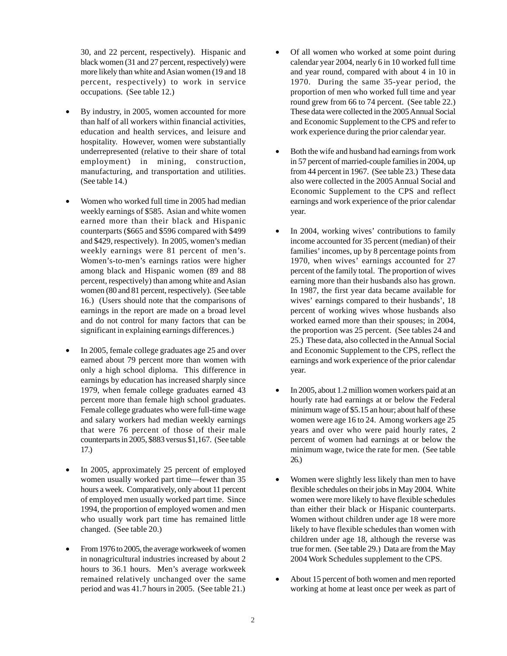30, and 22 percent, respectively). Hispanic and black women (31 and 27 percent, respectively) were more likely than white and Asian women (19 and 18 percent, respectively) to work in service occupations. (See table 12.)

- By industry, in 2005, women accounted for more than half of all workers within financial activities, education and health services, and leisure and hospitality. However, women were substantially underrepresented (relative to their share of total employment) in mining, construction, manufacturing, and transportation and utilities. (See table 14.)
- Women who worked full time in 2005 had median weekly earnings of \$585. Asian and white women earned more than their black and Hispanic counterparts (\$665 and \$596 compared with \$499 and \$429, respectively). In 2005, women's median weekly earnings were 81 percent of men's. Women's-to-men's earnings ratios were higher among black and Hispanic women (89 and 88 percent, respectively) than among white and Asian women (80 and 81 percent, respectively). (See table 16.) (Users should note that the comparisons of earnings in the report are made on a broad level and do not control for many factors that can be significant in explaining earnings differences.)
- In 2005, female college graduates age 25 and over earned about 79 percent more than women with only a high school diploma. This difference in earnings by education has increased sharply since 1979, when female college graduates earned 43 percent more than female high school graduates. Female college graduates who were full-time wage and salary workers had median weekly earnings that were 76 percent of those of their male counterparts in 2005, \$883 versus \$1,167. (See table 17.)
- In 2005, approximately 25 percent of employed women usually worked part time—fewer than 35 hours a week. Comparatively, only about 11 percent of employed men usually worked part time. Since 1994, the proportion of employed women and men who usually work part time has remained little changed. (See table 20.)
- From 1976 to 2005, the average workweek of women in nonagricultural industries increased by about 2 hours to 36.1 hours. Men's average workweek remained relatively unchanged over the same period and was 41.7 hours in 2005. (See table 21.)
- Of all women who worked at some point during calendar year 2004, nearly 6 in 10 worked full time and year round, compared with about 4 in 10 in 1970. During the same 35-year period, the proportion of men who worked full time and year round grew from 66 to 74 percent. (See table 22.) These data were collected in the 2005 Annual Social and Economic Supplement to the CPS and refer to work experience during the prior calendar year.
- Both the wife and husband had earnings from work in 57 percent of married-couple families in 2004, up from 44 percent in 1967. (See table 23.) These data also were collected in the 2005 Annual Social and Economic Supplement to the CPS and reflect earnings and work experience of the prior calendar year.
- In 2004, working wives' contributions to family income accounted for 35 percent (median) of their families' incomes, up by 8 percentage points from 1970, when wives' earnings accounted for 27 percent of the family total. The proportion of wives earning more than their husbands also has grown. In 1987, the first year data became available for wives' earnings compared to their husbands', 18 percent of working wives whose husbands also worked earned more than their spouses; in 2004, the proportion was 25 percent. (See tables 24 and 25.) These data, also collected in the Annual Social and Economic Supplement to the CPS, reflect the earnings and work experience of the prior calendar year.
- In 2005, about 1.2 million women workers paid at an hourly rate had earnings at or below the Federal minimum wage of \$5.15 an hour; about half of these women were age 16 to 24. Among workers age 25 years and over who were paid hourly rates, 2 percent of women had earnings at or below the minimum wage, twice the rate for men. (See table 26.)
- Women were slightly less likely than men to have flexible schedules on their jobs in May 2004. White women were more likely to have flexible schedules than either their black or Hispanic counterparts. Women without children under age 18 were more likely to have flexible schedules than women with children under age 18, although the reverse was true for men. (See table 29.) Data are from the May 2004 Work Schedules supplement to the CPS.
- About 15 percent of both women and men reported working at home at least once per week as part of